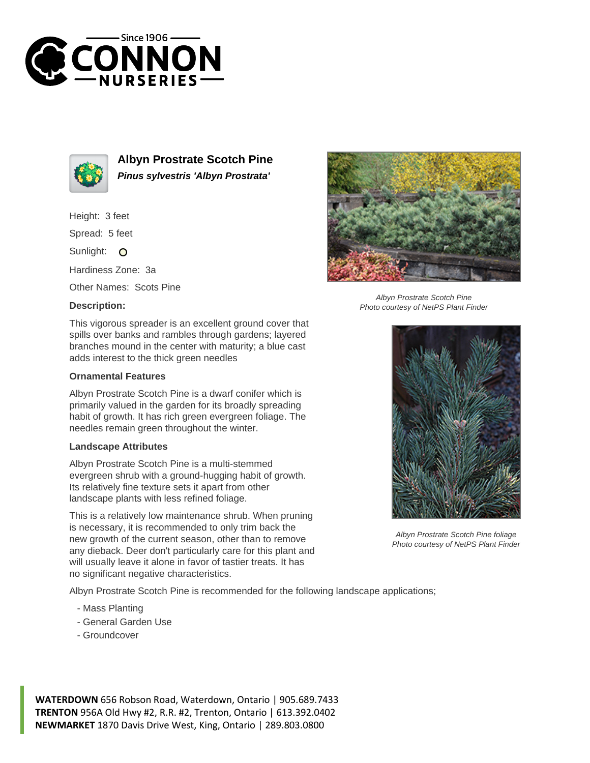



**Albyn Prostrate Scotch Pine Pinus sylvestris 'Albyn Prostrata'**

Height: 3 feet

Spread: 5 feet

Sunlight: O

Hardiness Zone: 3a

Other Names: Scots Pine

## **Description:**



## **Ornamental Features**

Albyn Prostrate Scotch Pine is a dwarf conifer which is primarily valued in the garden for its broadly spreading habit of growth. It has rich green evergreen foliage. The needles remain green throughout the winter.

## **Landscape Attributes**

Albyn Prostrate Scotch Pine is a multi-stemmed evergreen shrub with a ground-hugging habit of growth. Its relatively fine texture sets it apart from other landscape plants with less refined foliage.

This is a relatively low maintenance shrub. When pruning is necessary, it is recommended to only trim back the new growth of the current season, other than to remove any dieback. Deer don't particularly care for this plant and will usually leave it alone in favor of tastier treats. It has no significant negative characteristics.

Albyn Prostrate Scotch Pine is recommended for the following landscape applications;

- Mass Planting
- General Garden Use
- Groundcover





Albyn Prostrate Scotch Pine foliage Photo courtesy of NetPS Plant Finder

**WATERDOWN** 656 Robson Road, Waterdown, Ontario | 905.689.7433 **TRENTON** 956A Old Hwy #2, R.R. #2, Trenton, Ontario | 613.392.0402 **NEWMARKET** 1870 Davis Drive West, King, Ontario | 289.803.0800